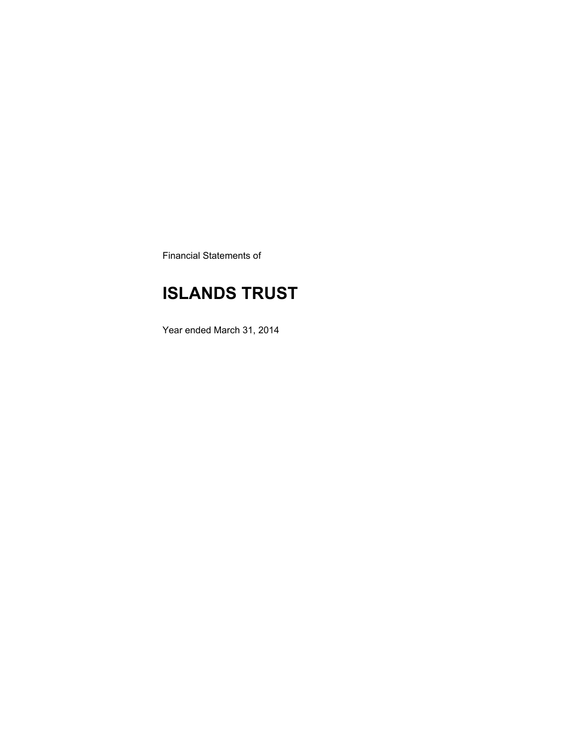Financial Statements of

### **ISLANDS TRUST**

Year ended March 31, 2014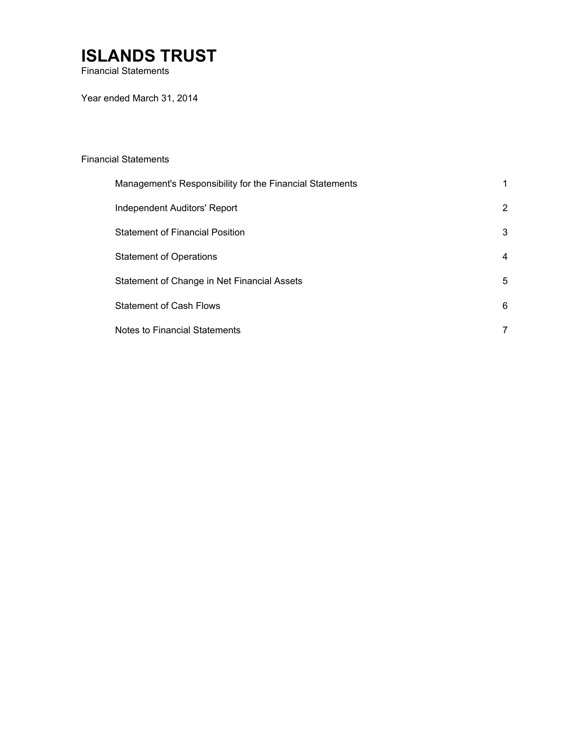Financial Statements

Year ended March 31, 2014

#### Financial Statements

| Management's Responsibility for the Financial Statements | $\mathbf{1}$ |
|----------------------------------------------------------|--------------|
| Independent Auditors' Report                             | 2            |
| <b>Statement of Financial Position</b>                   | 3            |
| <b>Statement of Operations</b>                           | 4            |
| Statement of Change in Net Financial Assets              | 5            |
| <b>Statement of Cash Flows</b>                           | 6            |
| Notes to Financial Statements                            | 7            |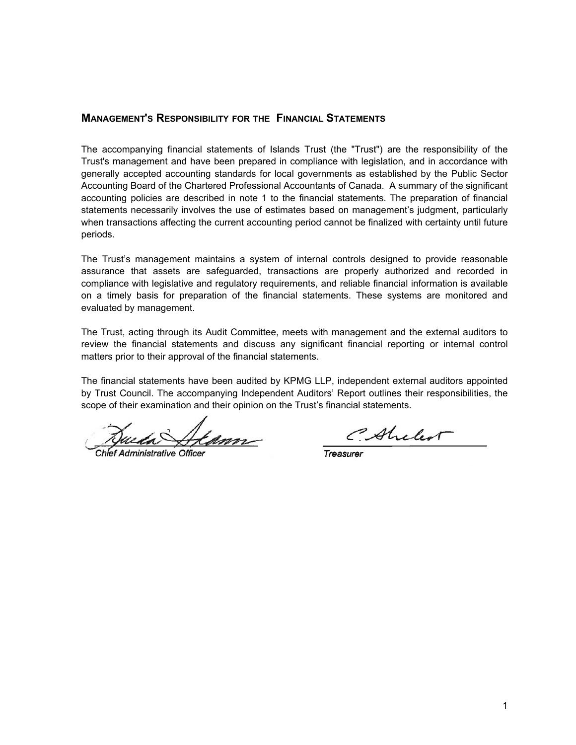### **MANAGEMENT'S RESPONSIBILITY FOR THE FINANCIAL STATEMENTS**

The accompanying financial statements of Islands Trust (the "Trust") are the responsibility of the Trust's management and have been prepared in compliance with legislation, and in accordance with generally accepted accounting standards for local governments as established by the Public Sector Accounting Board of the Chartered Professional Accountants of Canada. A summary of the significant accounting policies are described in note 1 to the financial statements. The preparation of financial statements necessarily involves the use of estimates based on management's judgment, particularly when transactions affecting the current accounting period cannot be finalized with certainty until future periods.

The Trust's management maintains a system of internal controls designed to provide reasonable assurance that assets are safeguarded, transactions are properly authorized and recorded in compliance with legislative and regulatory requirements, and reliable financial information is available on a timely basis for preparation of the financial statements. These systems are monitored and evaluated by management.

The Trust, acting through its Audit Committee, meets with management and the external auditors to review the financial statements and discuss any significant financial reporting or internal control matters prior to their approval of the financial statements.

The financial statements have been audited by KPMG LLP, independent external auditors appointed by Trust Council. The accompanying Independent Auditors' Report outlines their responsibilities, the scope of their examination and their opinion on the Trust's financial statements.

Chief Administrative Officer

C. Shelest

Treasurer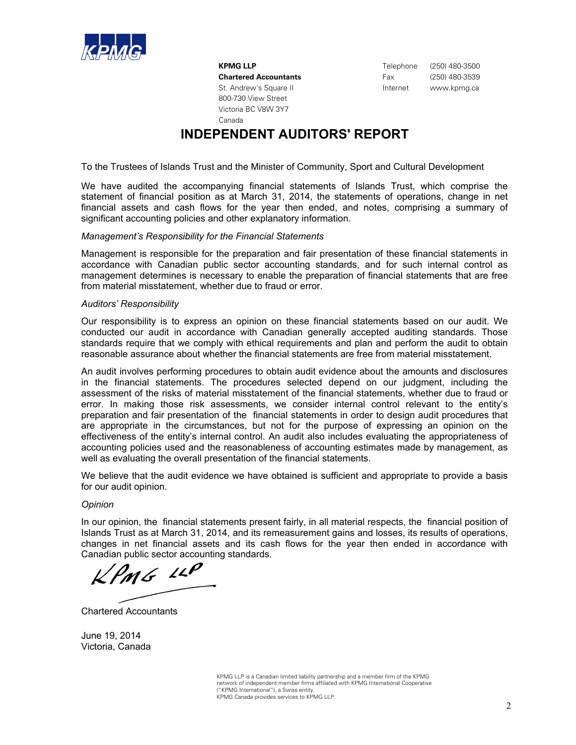

**KPMG LLP** Telephone (250) 480-3500 800-730 View Street Victoria BC V8W 3Y7 Canada

**Chartered Accountants** Fax Fax (250) 480-3539 St. Andrew's Square II and the state of the linternet www.kpmg.ca

### **INDEPENDENT AUDITORS' REPORT**

To the Trustees of Islands Trust and the Minister of Community, Sport and Cultural Development

We have audited the accompanying financial statements of Islands Trust, which comprise the statement of financial position as at March 31, 2014, the statements of operations, change in net financial assets and cash flows for the year then ended, and notes, comprising a summary of significant accounting policies and other explanatory information.

#### *Management's Responsibility for the Financial Statements*

Management is responsible for the preparation and fair presentation of these financial statements in accordance with Canadian public sector accounting standards, and for such internal control as management determines is necessary to enable the preparation of financial statements that are free from material misstatement, whether due to fraud or error.

#### *Auditors' Responsibility*

Our responsibility is to express an opinion on these financial statements based on our audit. We conducted our audit in accordance with Canadian generally accepted auditing standards. Those standards require that we comply with ethical requirements and plan and perform the audit to obtain reasonable assurance about whether the financial statements are free from material misstatement.

An audit involves performing procedures to obtain audit evidence about the amounts and disclosures in the financial statements. The procedures selected depend on our judgment, including the assessment of the risks of material misstatement of the financial statements, whether due to fraud or error. In making those risk assessments, we consider internal control relevant to the entity's preparation and fair presentation of the financial statements in order to design audit procedures that are appropriate in the circumstances, but not for the purpose of expressing an opinion on the effectiveness of the entity's internal control. An audit also includes evaluating the appropriateness of accounting policies used and the reasonableness of accounting estimates made by management, as well as evaluating the overall presentation of the financial statements.

We believe that the audit evidence we have obtained is sufficient and appropriate to provide a basis for our audit opinion.

#### *Opinion*

In our opinion, the financial statements present fairly, in all material respects, the financial position of Islands Trust as at March 31, 2014, and its remeasurement gains and losses, its results of operations, changes in net financial assets and its cash flows for the year then ended in accordance with Canadian public sector accounting standards.

MG LLP

Chartered Accountants

June 19, 2014 Victoria, Canada

> KPMG LLP is a Canadian limited liability partnership and a member firm of the KPMG network of independent member firms affiliated with KPMG International Cooperative ("KPMG International"), a Swiss entity. KPMG Canada provides services to KPMG LLP.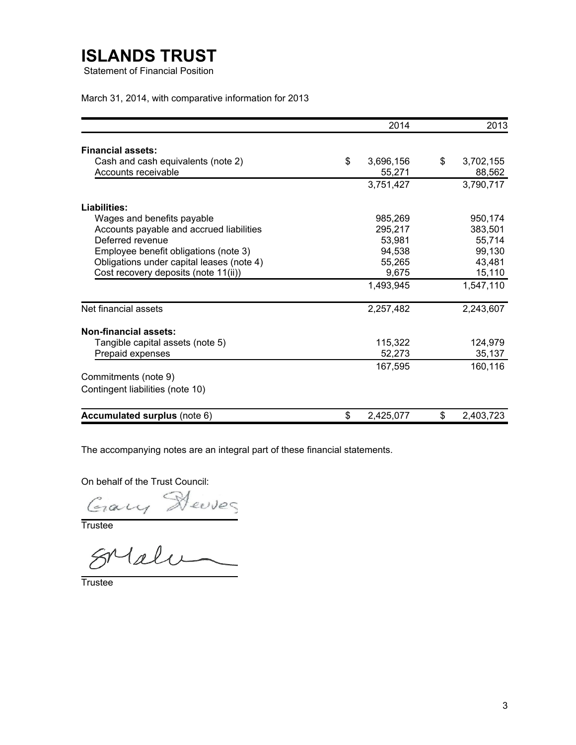Statement of Financial Position

March 31, 2014, with comparative information for 2013

|                                           | 2014            | 2013            |
|-------------------------------------------|-----------------|-----------------|
| <b>Financial assets:</b>                  |                 |                 |
| Cash and cash equivalents (note 2)        | \$<br>3,696,156 | \$<br>3,702,155 |
| Accounts receivable                       | 55,271          | 88,562          |
|                                           | 3,751,427       | 3,790,717       |
| Liabilities:                              |                 |                 |
| Wages and benefits payable                | 985,269         | 950,174         |
| Accounts payable and accrued liabilities  | 295,217         | 383,501         |
| Deferred revenue                          | 53,981          | 55,714          |
| Employee benefit obligations (note 3)     | 94,538          | 99,130          |
| Obligations under capital leases (note 4) | 55,265          | 43,481          |
| Cost recovery deposits (note 11(ii))      | 9,675           | 15,110          |
|                                           | 1,493,945       | 1,547,110       |
| Net financial assets                      | 2,257,482       | 2,243,607       |
| Non-financial assets:                     |                 |                 |
| Tangible capital assets (note 5)          | 115,322         | 124.979         |
| Prepaid expenses                          | 52,273          | 35,137          |
|                                           | 167,595         | 160,116         |
| Commitments (note 9)                      |                 |                 |
| Contingent liabilities (note 10)          |                 |                 |
| Accumulated surplus (note 6)              | \$<br>2,425,077 | \$<br>2,403,723 |

The accompanying notes are an integral part of these financial statements.

On behalf of the Trust Council:

Gary Deves 

**Trustee** 

SMalu

**Trustee**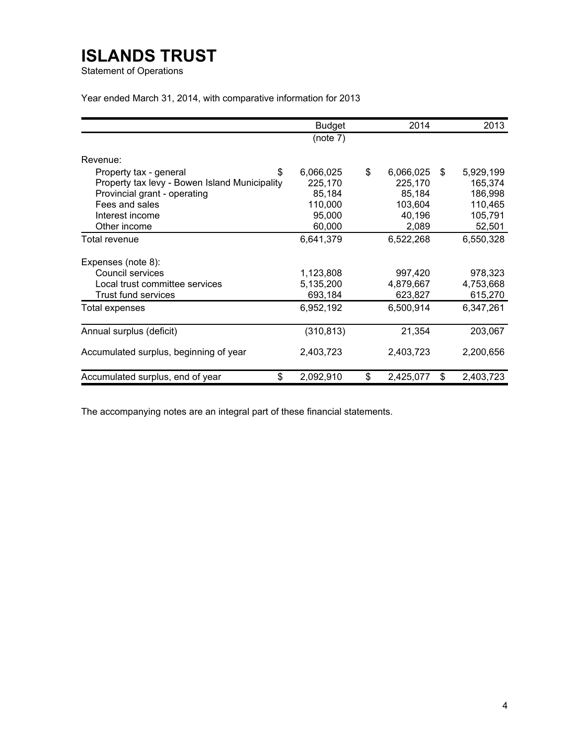Statement of Operations

Year ended March 31, 2014, with comparative information for 2013

|                                               | <b>Budget</b> | 2014            | 2013            |
|-----------------------------------------------|---------------|-----------------|-----------------|
|                                               | (note 7)      |                 |                 |
| Revenue:                                      |               |                 |                 |
| \$<br>Property tax - general                  | 6,066,025     | \$<br>6,066,025 | \$<br>5,929,199 |
| Property tax levy - Bowen Island Municipality | 225,170       | 225,170         | 165,374         |
| Provincial grant - operating                  | 85,184        | 85,184          | 186,998         |
| Fees and sales                                | 110,000       | 103,604         | 110,465         |
| Interest income                               | 95,000        | 40,196          | 105,791         |
| Other income                                  | 60,000        | 2,089           | 52,501          |
| Total revenue                                 | 6,641,379     | 6,522,268       | 6,550,328       |
| Expenses (note 8):                            |               |                 |                 |
| Council services                              | 1,123,808     | 997,420         | 978,323         |
| Local trust committee services                | 5,135,200     | 4,879,667       | 4,753,668       |
| Trust fund services                           | 693,184       | 623,827         | 615,270         |
| Total expenses                                | 6,952,192     | 6,500,914       | 6,347,261       |
| Annual surplus (deficit)                      | (310, 813)    | 21,354          | 203,067         |
| Accumulated surplus, beginning of year        | 2,403,723     | 2,403,723       | 2,200,656       |
| Accumulated surplus, end of year<br>\$        | 2,092,910     | \$<br>2,425,077 | \$<br>2,403,723 |

The accompanying notes are an integral part of these financial statements.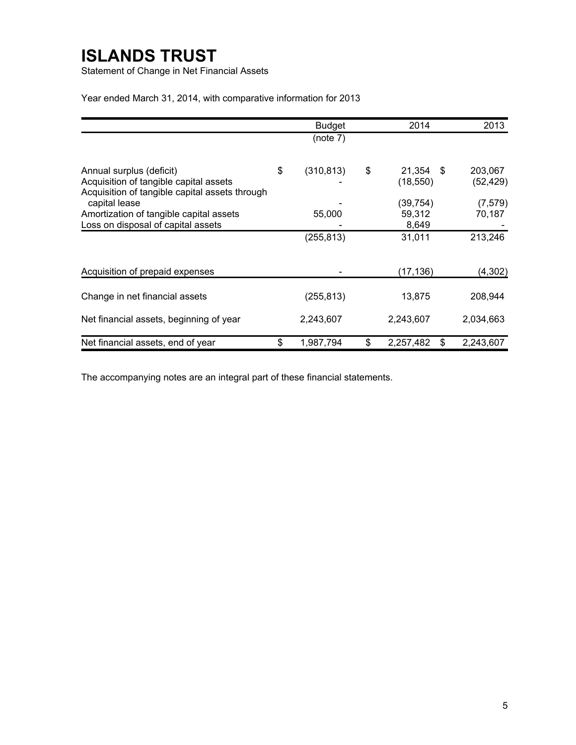Statement of Change in Net Financial Assets

Year ended March 31, 2014, with comparative information for 2013

|                                                                                          | <b>Budget</b>    | 2014            |      | 2013      |
|------------------------------------------------------------------------------------------|------------------|-----------------|------|-----------|
|                                                                                          | (note 7)         |                 |      |           |
| Annual surplus (deficit)                                                                 | \$<br>(310, 813) | \$<br>21,354    | - \$ | 203,067   |
| Acquisition of tangible capital assets<br>Acquisition of tangible capital assets through |                  | (18, 550)       |      | (52,429)  |
| capital lease                                                                            |                  | (39,754)        |      | (7, 579)  |
| Amortization of tangible capital assets                                                  | 55,000           | 59,312          |      | 70,187    |
| Loss on disposal of capital assets                                                       |                  | 8,649           |      |           |
|                                                                                          | (255, 813)       | 31,011          |      | 213,246   |
| Acquisition of prepaid expenses                                                          |                  | (17,136)        |      | (4, 302)  |
| Change in net financial assets                                                           | (255, 813)       | 13,875          |      | 208,944   |
| Net financial assets, beginning of year                                                  | 2,243,607        | 2,243,607       |      | 2,034,663 |
| Net financial assets, end of year                                                        | \$<br>1,987,794  | \$<br>2,257,482 | S    | 2,243,607 |

The accompanying notes are an integral part of these financial statements.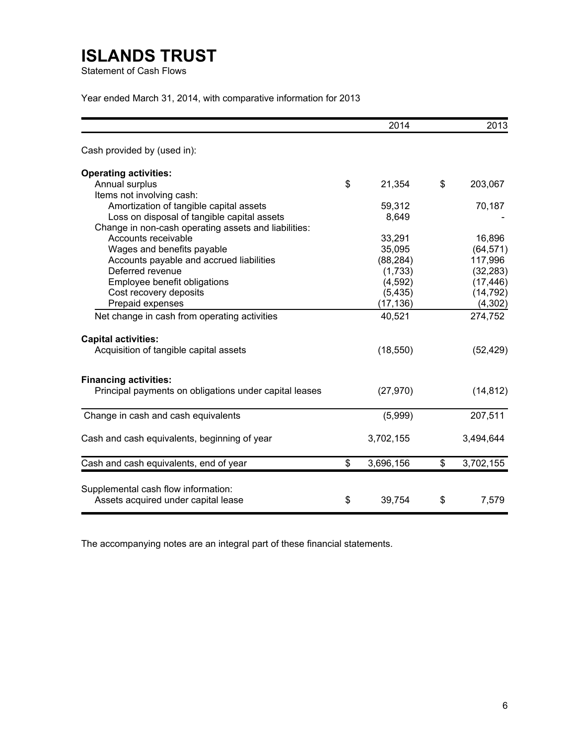Statement of Cash Flows

Year ended March 31, 2014, with comparative information for 2013

|                                                        | 2014            |                | 2013      |
|--------------------------------------------------------|-----------------|----------------|-----------|
| Cash provided by (used in):                            |                 |                |           |
| <b>Operating activities:</b>                           |                 |                |           |
| Annual surplus                                         | \$<br>21,354    | \$             | 203,067   |
| Items not involving cash:                              |                 |                |           |
| Amortization of tangible capital assets                | 59,312          |                | 70,187    |
| Loss on disposal of tangible capital assets            | 8,649           |                |           |
| Change in non-cash operating assets and liabilities:   |                 |                |           |
| Accounts receivable                                    | 33,291          |                | 16,896    |
| Wages and benefits payable                             | 35,095          |                | (64, 571) |
| Accounts payable and accrued liabilities               | (88, 284)       |                | 117,996   |
| Deferred revenue                                       | (1,733)         |                | (32, 283) |
| Employee benefit obligations                           | (4, 592)        |                | (17, 446) |
| Cost recovery deposits                                 | (5, 435)        |                | (14, 792) |
| Prepaid expenses                                       | (17, 136)       |                | (4, 302)  |
| Net change in cash from operating activities           | 40,521          |                | 274,752   |
| <b>Capital activities:</b>                             |                 |                |           |
| Acquisition of tangible capital assets                 | (18, 550)       |                | (52, 429) |
|                                                        |                 |                |           |
| <b>Financing activities:</b>                           |                 |                |           |
| Principal payments on obligations under capital leases | (27, 970)       |                | (14, 812) |
| Change in cash and cash equivalents                    | (5,999)         |                | 207,511   |
| Cash and cash equivalents, beginning of year           | 3,702,155       |                | 3,494,644 |
|                                                        |                 |                |           |
| Cash and cash equivalents, end of year                 | \$<br>3,696,156 | $\mathfrak{S}$ | 3,702,155 |
|                                                        |                 |                |           |
| Supplemental cash flow information:                    |                 |                |           |
| Assets acquired under capital lease                    | \$<br>39,754    | \$             | 7,579     |

The accompanying notes are an integral part of these financial statements.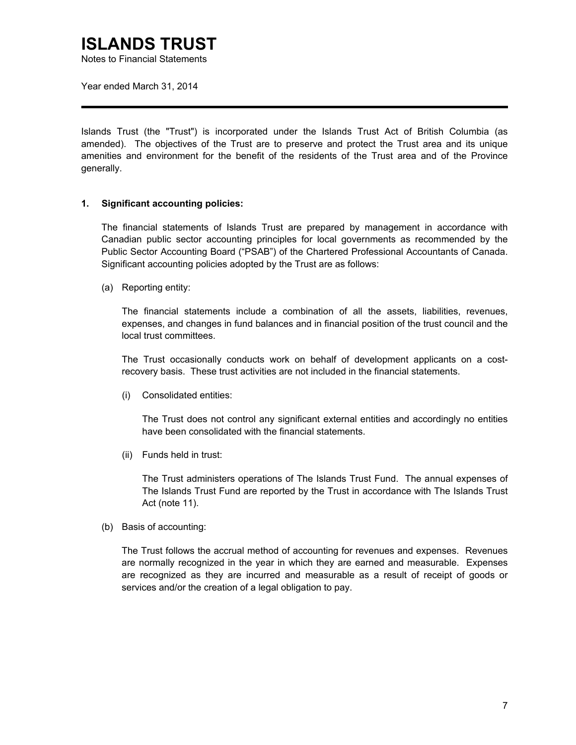Notes to Financial Statements

Year ended March 31, 2014

Islands Trust (the "Trust") is incorporated under the Islands Trust Act of British Columbia (as amended). The objectives of the Trust are to preserve and protect the Trust area and its unique amenities and environment for the benefit of the residents of the Trust area and of the Province generally.

#### **1. Significant accounting policies:**

The financial statements of Islands Trust are prepared by management in accordance with Canadian public sector accounting principles for local governments as recommended by the Public Sector Accounting Board ("PSAB") of the Chartered Professional Accountants of Canada. Significant accounting policies adopted by the Trust are as follows:

(a) Reporting entity:

The financial statements include a combination of all the assets, liabilities, revenues, expenses, and changes in fund balances and in financial position of the trust council and the local trust committees.

The Trust occasionally conducts work on behalf of development applicants on a costrecovery basis. These trust activities are not included in the financial statements.

(i) Consolidated entities:

The Trust does not control any significant external entities and accordingly no entities have been consolidated with the financial statements.

(ii) Funds held in trust:

The Trust administers operations of The Islands Trust Fund. The annual expenses of The Islands Trust Fund are reported by the Trust in accordance with The Islands Trust Act (note 11).

(b) Basis of accounting:

The Trust follows the accrual method of accounting for revenues and expenses. Revenues are normally recognized in the year in which they are earned and measurable. Expenses are recognized as they are incurred and measurable as a result of receipt of goods or services and/or the creation of a legal obligation to pay.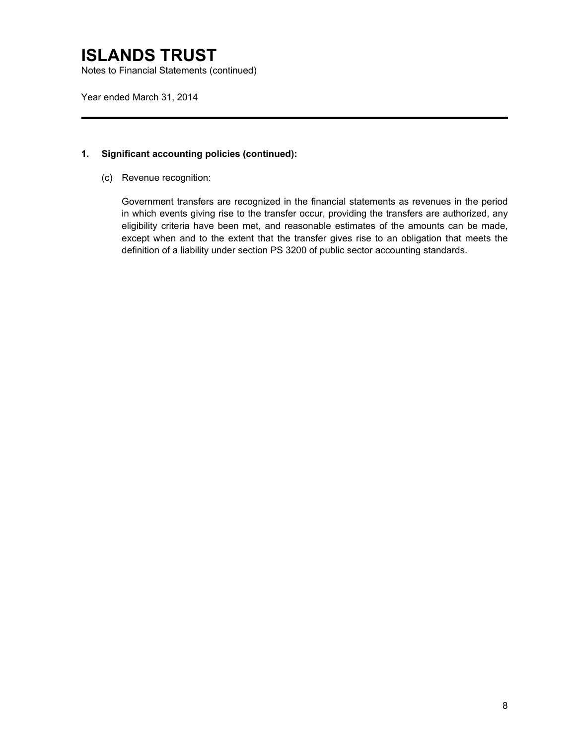Notes to Financial Statements (continued)

Year ended March 31, 2014

### **1. Significant accounting policies (continued):**

(c) Revenue recognition:

Government transfers are recognized in the financial statements as revenues in the period in which events giving rise to the transfer occur, providing the transfers are authorized, any eligibility criteria have been met, and reasonable estimates of the amounts can be made, except when and to the extent that the transfer gives rise to an obligation that meets the definition of a liability under section PS 3200 of public sector accounting standards.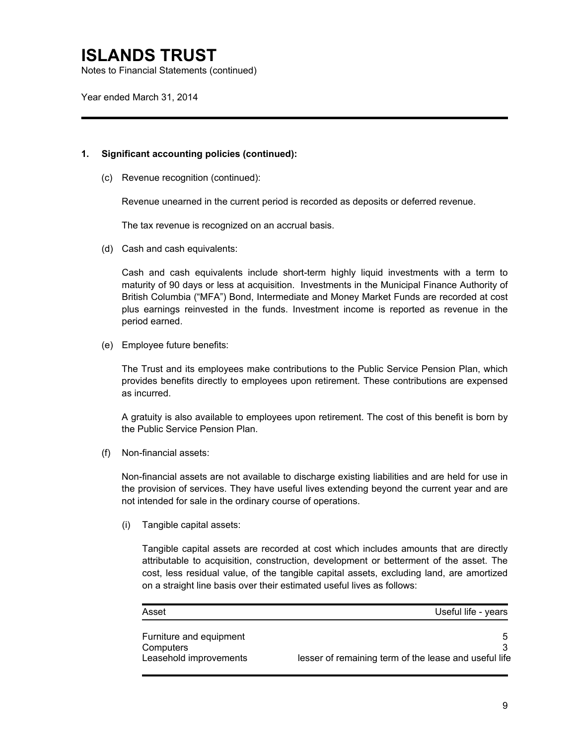Notes to Financial Statements (continued)

Year ended March 31, 2014

### **1. Significant accounting policies (continued):**

(c) Revenue recognition (continued):

Revenue unearned in the current period is recorded as deposits or deferred revenue.

The tax revenue is recognized on an accrual basis.

(d) Cash and cash equivalents:

Cash and cash equivalents include short-term highly liquid investments with a term to maturity of 90 days or less at acquisition. Investments in the Municipal Finance Authority of British Columbia ("MFA") Bond, Intermediate and Money Market Funds are recorded at cost plus earnings reinvested in the funds. Investment income is reported as revenue in the period earned.

(e) Employee future benefits:

The Trust and its employees make contributions to the Public Service Pension Plan, which provides benefits directly to employees upon retirement. These contributions are expensed as incurred.

A gratuity is also available to employees upon retirement. The cost of this benefit is born by the Public Service Pension Plan.

(f) Non-financial assets:

Non-financial assets are not available to discharge existing liabilities and are held for use in the provision of services. They have useful lives extending beyond the current year and are not intended for sale in the ordinary course of operations.

(i) Tangible capital assets:

Tangible capital assets are recorded at cost which includes amounts that are directly attributable to acquisition, construction, development or betterment of the asset. The cost, less residual value, of the tangible capital assets, excluding land, are amortized on a straight line basis over their estimated useful lives as follows:

| Asset                                                          | Useful life - years                                         |
|----------------------------------------------------------------|-------------------------------------------------------------|
| Furniture and equipment<br>Computers<br>Leasehold improvements | 5.<br>lesser of remaining term of the lease and useful life |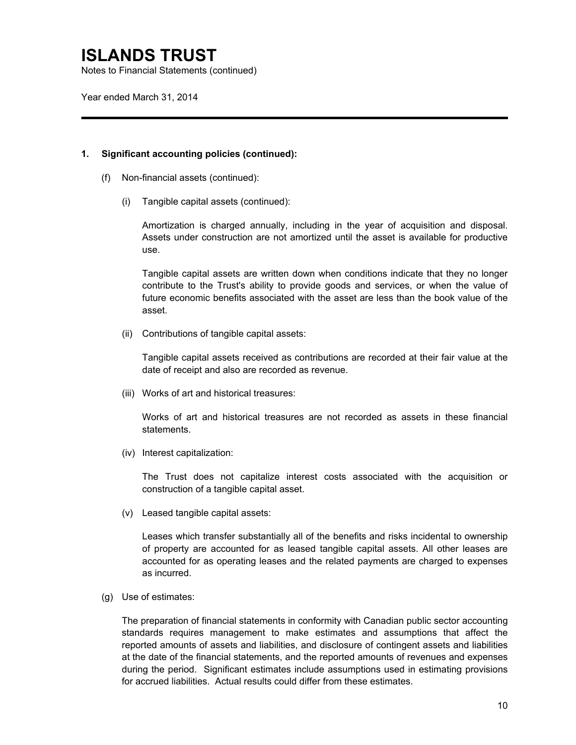Notes to Financial Statements (continued)

Year ended March 31, 2014

#### **1. Significant accounting policies (continued):**

- (f) Non-financial assets (continued):
	- (i) Tangible capital assets (continued):

Amortization is charged annually, including in the year of acquisition and disposal. Assets under construction are not amortized until the asset is available for productive use.

Tangible capital assets are written down when conditions indicate that they no longer contribute to the Trust's ability to provide goods and services, or when the value of future economic benefits associated with the asset are less than the book value of the asset.

(ii) Contributions of tangible capital assets:

Tangible capital assets received as contributions are recorded at their fair value at the date of receipt and also are recorded as revenue.

(iii) Works of art and historical treasures:

Works of art and historical treasures are not recorded as assets in these financial statements.

(iv) Interest capitalization:

The Trust does not capitalize interest costs associated with the acquisition or construction of a tangible capital asset.

(v) Leased tangible capital assets:

Leases which transfer substantially all of the benefits and risks incidental to ownership of property are accounted for as leased tangible capital assets. All other leases are accounted for as operating leases and the related payments are charged to expenses as incurred.

(g) Use of estimates:

The preparation of financial statements in conformity with Canadian public sector accounting standards requires management to make estimates and assumptions that affect the reported amounts of assets and liabilities, and disclosure of contingent assets and liabilities at the date of the financial statements, and the reported amounts of revenues and expenses during the period. Significant estimates include assumptions used in estimating provisions for accrued liabilities. Actual results could differ from these estimates.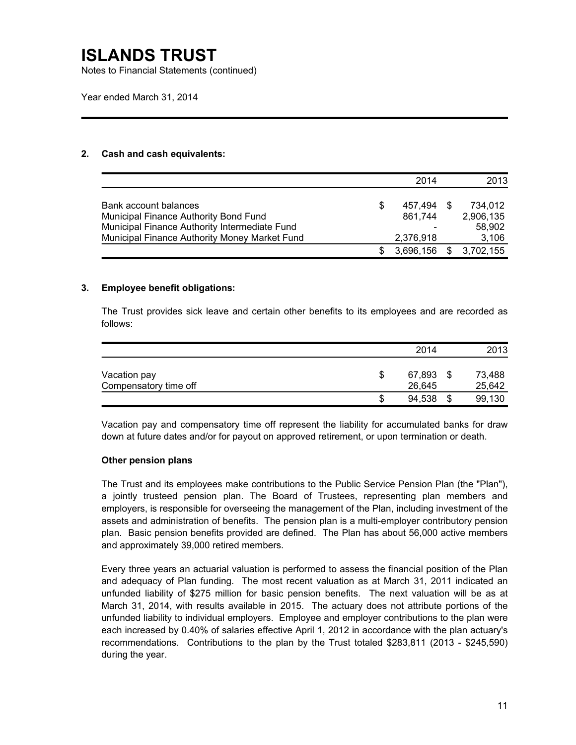Notes to Financial Statements (continued)

Year ended March 31, 2014

#### **2. Cash and cash equivalents:**

|                                               |   | 2014      | 2013      |
|-----------------------------------------------|---|-----------|-----------|
|                                               |   |           |           |
| Bank account balances                         | S | 457.494   | 734.012   |
| Municipal Finance Authority Bond Fund         |   | 861.744   | 2,906,135 |
| Municipal Finance Authority Intermediate Fund |   |           | 58.902    |
| Municipal Finance Authority Money Market Fund |   | 2,376,918 | 3,106     |
|                                               |   | 3.696.156 | 3,702,155 |

#### **3. Employee benefit obligations:**

The Trust provides sick leave and certain other benefits to its employees and are recorded as follows:

|                                       |   | 2014             |    | 2013             |
|---------------------------------------|---|------------------|----|------------------|
| Vacation pay<br>Compensatory time off | S | 67,893<br>26,645 | S  | 73,488<br>25,642 |
|                                       | S | 94,538           | \$ | 99,130           |

Vacation pay and compensatory time off represent the liability for accumulated banks for draw down at future dates and/or for payout on approved retirement, or upon termination or death.

### **Other pension plans**

The Trust and its employees make contributions to the Public Service Pension Plan (the "Plan"), a jointly trusteed pension plan. The Board of Trustees, representing plan members and employers, is responsible for overseeing the management of the Plan, including investment of the assets and administration of benefits. The pension plan is a multi-employer contributory pension plan. Basic pension benefits provided are defined. The Plan has about 56,000 active members and approximately 39,000 retired members.

Every three years an actuarial valuation is performed to assess the financial position of the Plan and adequacy of Plan funding. The most recent valuation as at March 31, 2011 indicated an unfunded liability of \$275 million for basic pension benefits. The next valuation will be as at March 31, 2014, with results available in 2015. The actuary does not attribute portions of the unfunded liability to individual employers. Employee and employer contributions to the plan were each increased by 0.40% of salaries effective April 1, 2012 in accordance with the plan actuary's recommendations. Contributions to the plan by the Trust totaled \$283,811 (2013 - \$245,590) during the year.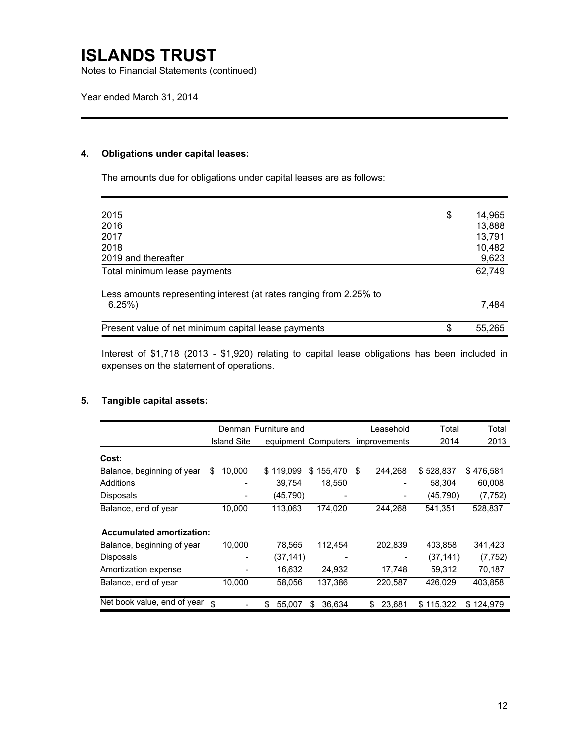Notes to Financial Statements (continued)

Year ended March 31, 2014

### **4. Obligations under capital leases:**

The amounts due for obligations under capital leases are as follows:

| 2015                                                               | \$<br>14,965 |
|--------------------------------------------------------------------|--------------|
| 2016                                                               | 13,888       |
| 2017                                                               | 13,791       |
| 2018                                                               | 10,482       |
| 2019 and thereafter                                                | 9,623        |
| Total minimum lease payments                                       | 62,749       |
| Less amounts representing interest (at rates ranging from 2.25% to |              |
| $6.25\%$                                                           | 7,484        |
| Present value of net minimum capital lease payments                | \$<br>55,265 |
|                                                                    |              |

Interest of \$1,718 (2013 - \$1,920) relating to capital lease obligations has been included in expenses on the statement of operations.

### **5. Tangible capital assets:**

|                             |                    | Denman Furniture and |                     | Leasehold    | Total     | Total     |
|-----------------------------|--------------------|----------------------|---------------------|--------------|-----------|-----------|
|                             | <b>Island Site</b> |                      | equipment Computers | improvements | 2014      | 2013      |
| Cost:                       |                    |                      |                     |              |           |           |
| Balance, beginning of year  | 10,000<br>S        | \$119,099            | 155.470<br>SS.      | 244.268<br>S | \$528,837 | \$476.581 |
| Additions                   |                    | 39,754               | 18,550              |              | 58,304    | 60,008    |
| Disposals                   |                    | (45,790)             |                     |              | (45, 790) | (7, 752)  |
| Balance, end of year        | 10,000             | 113,063              | 174,020             | 244,268      | 541,351   | 528,837   |
| Accumulated amortization:   |                    |                      |                     |              |           |           |
| Balance, beginning of year  | 10.000             | 78,565               | 112.454             | 202.839      | 403,858   | 341.423   |
| <b>Disposals</b>            |                    | (37, 141)            |                     |              | (37, 141) | (7, 752)  |
| Amortization expense        |                    | 16,632               | 24,932              | 17,748       | 59,312    | 70,187    |
| Balance, end of year        | 10.000             | 58,056               | 137,386             | 220,587      | 426,029   | 403.858   |
| Net book value, end of year | \$                 | 55,007<br>S          | 36.634<br>S         | 23,681<br>S  | \$115,322 | \$124.979 |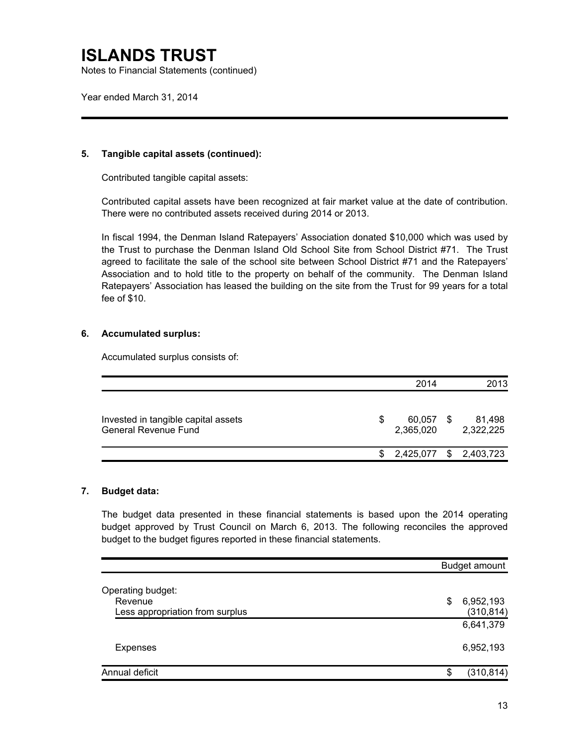Notes to Financial Statements (continued)

Year ended March 31, 2014

#### **5. Tangible capital assets (continued):**

Contributed tangible capital assets:

Contributed capital assets have been recognized at fair market value at the date of contribution. There were no contributed assets received during 2014 or 2013.

In fiscal 1994, the Denman Island Ratepayers' Association donated \$10,000 which was used by the Trust to purchase the Denman Island Old School Site from School District #71. The Trust agreed to facilitate the sale of the school site between School District #71 and the Ratepayers' Association and to hold title to the property on behalf of the community. The Denman Island Ratepayers' Association has leased the building on the site from the Trust for 99 years for a total fee of \$10.

### **6. Accumulated surplus:**

Accumulated surplus consists of:

|                                                             |   | 2014                      | 2013                |
|-------------------------------------------------------------|---|---------------------------|---------------------|
| Invested in tangible capital assets<br>General Revenue Fund | S | 60,057 \$<br>2,365,020    | 81,498<br>2,322,225 |
|                                                             |   | $$2,425,077$ $$2,403,723$ |                     |

### **7. Budget data:**

The budget data presented in these financial statements is based upon the 2014 operating budget approved by Trust Council on March 6, 2013. The following reconciles the approved budget to the budget figures reported in these financial statements.

|                                 | <b>Budget amount</b>    |
|---------------------------------|-------------------------|
| Operating budget:<br>Revenue    | 6,952,193<br>\$         |
| Less appropriation from surplus | (310, 814)<br>6,641,379 |
| Expenses                        | 6,952,193               |
| Annual deficit                  | \$<br>(310, 814)        |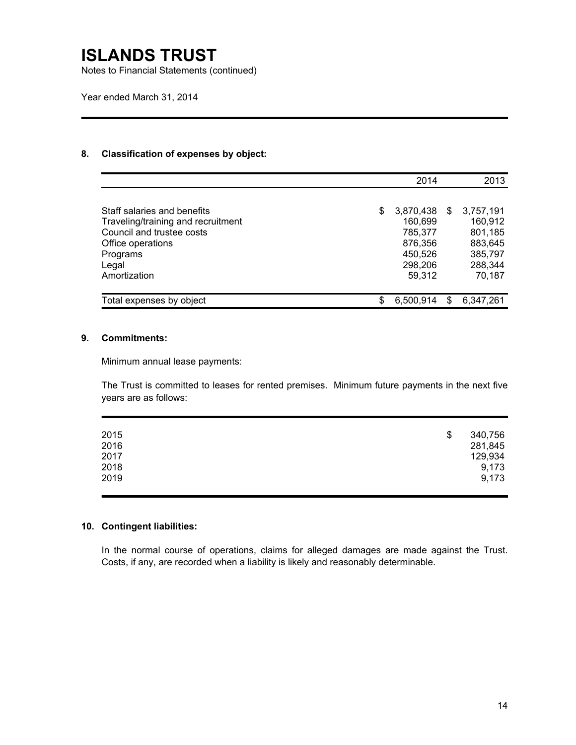Notes to Financial Statements (continued)

Year ended March 31, 2014

#### **8. Classification of expenses by object:**

|                                    |    | 2014      |    | 2013      |
|------------------------------------|----|-----------|----|-----------|
|                                    |    |           |    |           |
| Staff salaries and benefits        | S. | 3,870,438 | S. | 3,757,191 |
| Traveling/training and recruitment |    | 160,699   |    | 160,912   |
| Council and trustee costs          |    | 785,377   |    | 801,185   |
| Office operations                  |    | 876,356   |    | 883,645   |
| Programs                           |    | 450.526   |    | 385,797   |
| Legal                              |    | 298,206   |    | 288,344   |
| Amortization                       |    | 59.312    |    | 70,187    |
| Total expenses by object           | \$ | 6,500,914 | S  | 6.347.261 |

#### **9. Commitments:**

Minimum annual lease payments:

The Trust is committed to leases for rented premises. Minimum future payments in the next five years are as follows:

| 2015 | 340,756<br>\$ |
|------|---------------|
| 2016 | 281,845       |
| 2017 | 129,934       |
| 2018 | 9,173         |
| 2019 | 9,173         |
|      |               |

#### **10. Contingent liabilities:**

In the normal course of operations, claims for alleged damages are made against the Trust. Costs, if any, are recorded when a liability is likely and reasonably determinable.